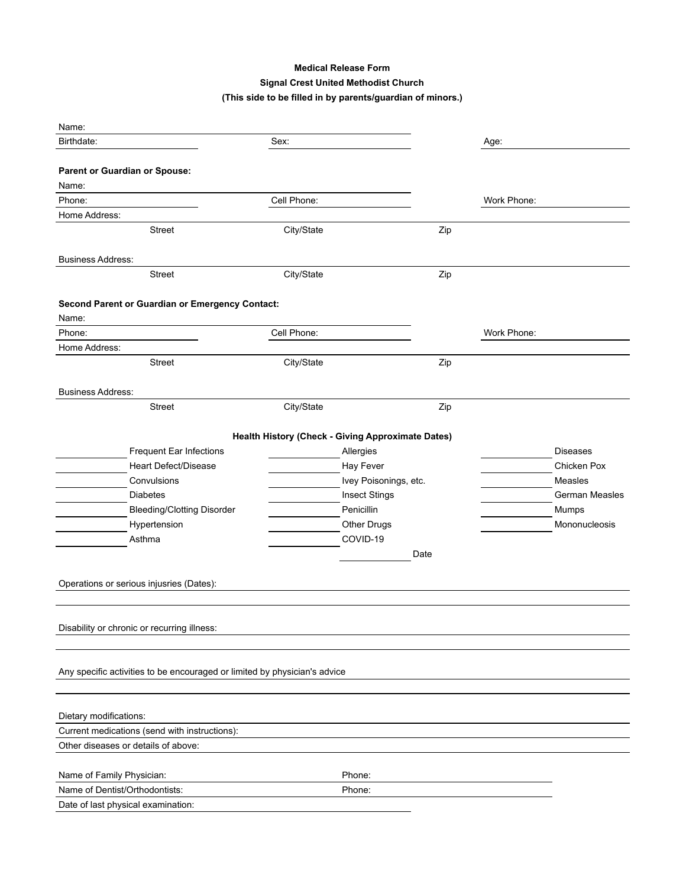## **Medical Release Form Signal Crest United Methodist Church (This side to be filled in by parents/guardian of minors.)**

| Name:                                                                     |                                                   |                       |      |             |                 |
|---------------------------------------------------------------------------|---------------------------------------------------|-----------------------|------|-------------|-----------------|
| Birthdate:                                                                | Sex:                                              |                       |      | Age:        |                 |
|                                                                           |                                                   |                       |      |             |                 |
| Parent or Guardian or Spouse:                                             |                                                   |                       |      |             |                 |
| Name:                                                                     |                                                   |                       |      |             |                 |
| Phone:                                                                    | Cell Phone:                                       |                       |      | Work Phone: |                 |
| Home Address:                                                             |                                                   |                       |      |             |                 |
| <b>Street</b>                                                             | City/State                                        |                       | Zip  |             |                 |
|                                                                           |                                                   |                       |      |             |                 |
| <b>Business Address:</b>                                                  |                                                   |                       |      |             |                 |
| <b>Street</b>                                                             | City/State                                        |                       | Zip  |             |                 |
|                                                                           |                                                   |                       |      |             |                 |
| Second Parent or Guardian or Emergency Contact:<br>Name:                  |                                                   |                       |      |             |                 |
| Phone:                                                                    | Cell Phone:                                       |                       |      | Work Phone: |                 |
| Home Address:                                                             |                                                   |                       |      |             |                 |
| Street                                                                    | City/State                                        |                       | Zip  |             |                 |
|                                                                           |                                                   |                       |      |             |                 |
| <b>Business Address:</b>                                                  |                                                   |                       |      |             |                 |
| <b>Street</b>                                                             | City/State                                        |                       | Zip  |             |                 |
|                                                                           |                                                   |                       |      |             |                 |
|                                                                           | Health History (Check - Giving Approximate Dates) |                       |      |             |                 |
| Frequent Ear Infections                                                   |                                                   | Allergies             |      |             | <b>Diseases</b> |
| <b>Heart Defect/Disease</b>                                               |                                                   | Hay Fever             |      |             | Chicken Pox     |
| Convulsions                                                               |                                                   | Ivey Poisonings, etc. |      |             | Measles         |
| <b>Diabetes</b>                                                           |                                                   | <b>Insect Stings</b>  |      |             | German Measles  |
| <b>Bleeding/Clotting Disorder</b>                                         |                                                   | Penicillin            |      |             | Mumps           |
| Hypertension                                                              |                                                   | Other Drugs           |      |             | Mononucleosis   |
| Asthma                                                                    |                                                   | COVID-19              |      |             |                 |
|                                                                           |                                                   |                       | Date |             |                 |
|                                                                           |                                                   |                       |      |             |                 |
| Operations or serious injusries (Dates):                                  |                                                   |                       |      |             |                 |
|                                                                           |                                                   |                       |      |             |                 |
|                                                                           |                                                   |                       |      |             |                 |
| Disability or chronic or recurring illness:                               |                                                   |                       |      |             |                 |
|                                                                           |                                                   |                       |      |             |                 |
| Any specific activities to be encouraged or limited by physician's advice |                                                   |                       |      |             |                 |
|                                                                           |                                                   |                       |      |             |                 |
|                                                                           |                                                   |                       |      |             |                 |
| Dietary modifications:                                                    |                                                   |                       |      |             |                 |
| Current medications (send with instructions):                             |                                                   |                       |      |             |                 |
| Other diseases or details of above:                                       |                                                   |                       |      |             |                 |
|                                                                           |                                                   |                       |      |             |                 |
| Name of Family Physician:                                                 |                                                   | Phone:                |      |             |                 |
| Name of Dentist/Orthodontists:                                            |                                                   | Phone:                |      |             |                 |
| Date of last physical examination:                                        |                                                   |                       |      |             |                 |